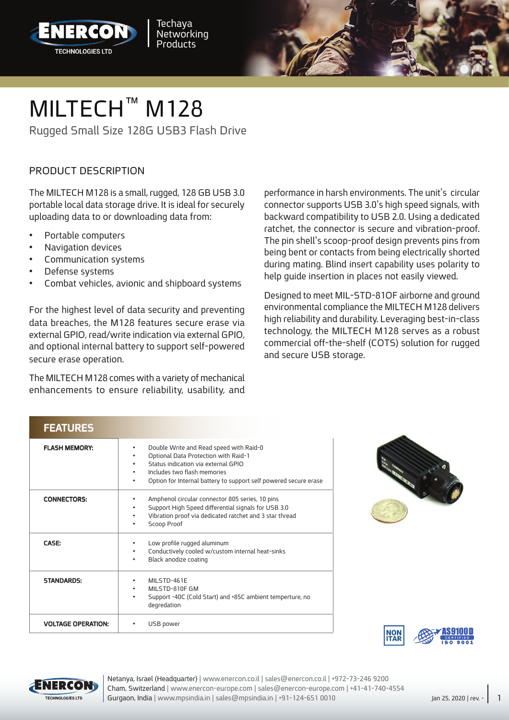



Rugged Small Size 128G USB3 Flash Drive

## PRODUCT DESCRIPTION

The MILTECH M128 is a small, rugged, 128 GB USB 3.0 portable local data storage drive. It is ideal for securely uploading data to or downloading data from:

- Portable computers
- Navigation devices
- Communication systems
- Defense systems
- Combat vehicles, avionic and shipboard systems

For the highest level of data security and preventing data breaches, the M128 features secure erase via external GPIO, read/write indication via external GPIO, and optional internal battery to support self-powered secure erase operation.

The MILTECH M128 comes with a variety of mechanical enhancements to ensure reliability, usability, and performance in harsh environments. The unit's circular connector supports USB 3.0's high speed signals, with backward compatibility to USB 2.0. Using a dedicated ratchet, the connector is secure and vibration-proof. The pin shell's scoop-proof design prevents pins from being bent or contacts from being electrically shorted during mating. Blind insert capability uses polarity to help quide insertion in places not easily viewed.

Designed to meet MIL-STD-81OF airborne and ground environmental compliance the MILTECH M128 delivers high reliability and durability. Leveraging best-in-class technology, the MILTECH M128 serves as a robust commercial off-the-shelf (COTS) solution for rugged and secure USB storage.

## FEATURES

| FEAIUREJ                  |                                                                                                                                                                                                                                |
|---------------------------|--------------------------------------------------------------------------------------------------------------------------------------------------------------------------------------------------------------------------------|
| <b>FLASH MEMORY:</b>      | Double Write and Read speed with Raid-0<br>٠<br>Optional Data Protection with Raid-1<br>Status indication via external GPIO<br>Includes two flash memories<br>Option for Internal battery to support self powered secure erase |
| <b>CONNECTORS:</b>        | Amphenol circular connector 805 series, 10 pins<br>Support High Speed differential signals for USB 3.0<br>Vibration proof via dedicated ratchet and 3 star thread<br>Scoop Proof                                               |
| CASE:                     | Low profile rugged aluminum<br>Conductively cooled w/custom internal heat-sinks<br>Black anodize coating                                                                                                                       |
| <b>STANDARDS:</b>         | MILSTD-461E<br>MILSTD-810F GM<br>Support -40C (Cold Start) and +85C ambient temperture, no<br>degredation                                                                                                                      |
| <b>VOLTAGE OPERATION:</b> | USB power                                                                                                                                                                                                                      |







Cham, Switzerland | www.enercon-europe.com | sales@enercon-europe.com | +41-41-740-4554 Netanya, Israel (Headquarter) | www.enercon.co.il | sales@enercon.co.il | +972-73-246 9200 Gurgaon, India | www.mpsindia.in | sales@mpsindia.in | +91-124-651 0010